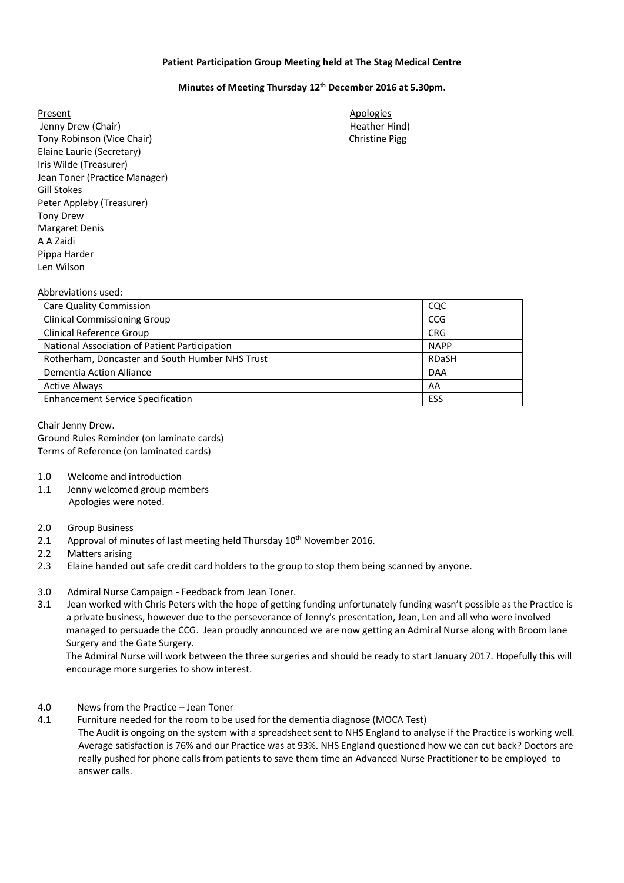## **Patient Participation Group Meeting held at The Stag Medical Centre**

## **Minutes of Meeting Thursday 12th December 2016 at 5.30pm.**

Present Apologies **Apologies** Jenny Drew (Chair) **Heather Hind**) **Heather Hind** Tony Robinson (Vice Chair) Christine Pigg Elaine Laurie (Secretary) Iris Wilde (Treasurer) Jean Toner (Practice Manager) Gill Stokes Peter Appleby (Treasurer) Tony Drew Margaret Denis A A Zaidi Pippa Harder Len Wilson

# Abbreviations used:

| <b>Care Quality Commission</b>                  | CQC          |
|-------------------------------------------------|--------------|
| <b>Clinical Commissioning Group</b>             | <b>CCG</b>   |
| Clinical Reference Group                        | <b>CRG</b>   |
| National Association of Patient Participation   | <b>NAPP</b>  |
| Rotherham, Doncaster and South Humber NHS Trust | <b>RDaSH</b> |
| Dementia Action Alliance                        | <b>DAA</b>   |
| <b>Active Always</b>                            | AA           |
| <b>Enhancement Service Specification</b>        | ESS          |

## Chair Jenny Drew.

Ground Rules Reminder (on laminate cards) Terms of Reference (on laminated cards)

#### 1.0 Welcome and introduction

1.1 Jenny welcomed group members Apologies were noted.

#### 2.0 Group Business

- 2.1 Approval of minutes of last meeting held Thursday 10<sup>th</sup> November 2016.
- 2.2 Matters arising
- 2.3 Elaine handed out safe credit card holders to the group to stop them being scanned by anyone.
- 3.0 Admiral Nurse Campaign Feedback from Jean Toner.
- 3.1 Jean worked with Chris Peters with the hope of getting funding unfortunately funding wasn't possible as the Practice is a private business, however due to the perseverance of Jenny's presentation, Jean, Len and all who were involved managed to persuade the CCG. Jean proudly announced we are now getting an Admiral Nurse along with Broom lane Surgery and the Gate Surgery.

 The Admiral Nurse will work between the three surgeries and should be ready to start January 2017. Hopefully this will encourage more surgeries to show interest.

#### 4.0 News from the Practice – Jean Toner

4.1 Furniture needed for the room to be used for the dementia diagnose (MOCA Test)

 The Audit is ongoing on the system with a spreadsheet sent to NHS England to analyse if the Practice is working well. Average satisfaction is 76% and our Practice was at 93%. NHS England questioned how we can cut back? Doctors are really pushed for phone calls from patients to save them time an Advanced Nurse Practitioner to be employed to answer calls.